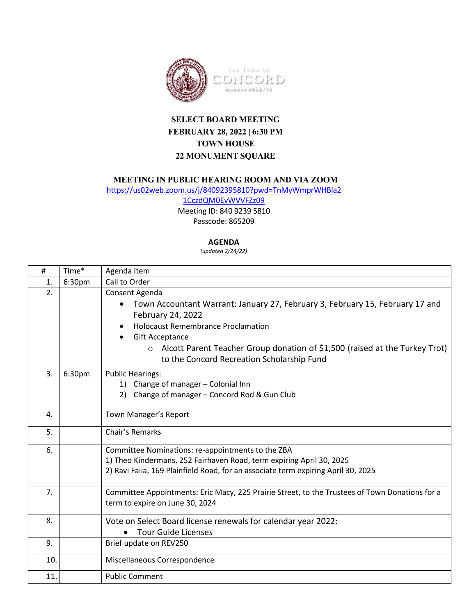

## **SELECT BOARD MEETING FEBRUARY 28, 2022 | 6:30 PM TOWN HOUSE 22 MONUMENT SQUARE**

## **MEETING IN PUBLIC HEARING ROOM AND VIA ZOOM**

[https://us02web.zoom.us/j/84092395810?pwd=TnMyWmprWHBla2](https://us02web.zoom.us/j/84092395810?pwd=TnMyWmprWHBla21CczdQM0EvWVVFZz09) [1CczdQM0EvWVVFZz09](https://us02web.zoom.us/j/84092395810?pwd=TnMyWmprWHBla21CczdQM0EvWVVFZz09)

Meeting ID: 840 9239 5810

Passcode: 865209

## **AGENDA**

*(updated 2/24/22)*

| #   | Time*  | Agenda Item                                                                                                                                                                                                                                                                                                                                        |
|-----|--------|----------------------------------------------------------------------------------------------------------------------------------------------------------------------------------------------------------------------------------------------------------------------------------------------------------------------------------------------------|
| 1.  | 6:30pm | Call to Order                                                                                                                                                                                                                                                                                                                                      |
| 2.  |        | Consent Agenda<br>Town Accountant Warrant: January 27, February 3, February 15, February 17 and<br>$\bullet$<br>February 24, 2022<br><b>Holocaust Remembrance Proclamation</b><br><b>Gift Acceptance</b><br>$\bullet$<br>Alcott Parent Teacher Group donation of \$1,500 (raised at the Turkey Trot)<br>to the Concord Recreation Scholarship Fund |
| 3.  | 6:30pm | <b>Public Hearings:</b><br>1) Change of manager - Colonial Inn<br>Change of manager - Concord Rod & Gun Club                                                                                                                                                                                                                                       |
| 4.  |        | Town Manager's Report                                                                                                                                                                                                                                                                                                                              |
| 5.  |        | Chair's Remarks                                                                                                                                                                                                                                                                                                                                    |
| 6.  |        | Committee Nominations: re-appointments to the ZBA<br>1) Theo Kindermans, 252 Fairhaven Road, term expiring April 30, 2025<br>2) Ravi Faiia, 169 Plainfield Road, for an associate term expiring April 30, 2025                                                                                                                                     |
| 7.  |        | Committee Appointments: Eric Macy, 225 Prairie Street, to the Trustees of Town Donations for a<br>term to expire on June 30, 2024                                                                                                                                                                                                                  |
| 8.  |        | Vote on Select Board license renewals for calendar year 2022:<br><b>Tour Guide Licenses</b><br>$\bullet$                                                                                                                                                                                                                                           |
| 9.  |        | Brief update on REV250                                                                                                                                                                                                                                                                                                                             |
| 10. |        | Miscellaneous Correspondence                                                                                                                                                                                                                                                                                                                       |
| 11. |        | <b>Public Comment</b>                                                                                                                                                                                                                                                                                                                              |